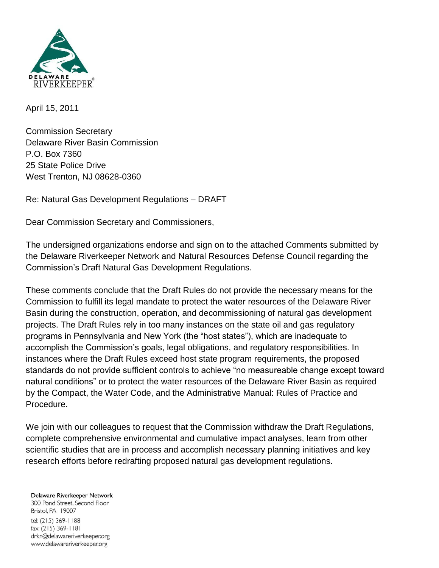

April 15, 2011

Commission Secretary Delaware River Basin Commission P.O. Box 7360 25 State Police Drive West Trenton, NJ 08628-0360

Re: Natural Gas Development Regulations – DRAFT

Dear Commission Secretary and Commissioners,

The undersigned organizations endorse and sign on to the attached Comments submitted by the Delaware Riverkeeper Network and Natural Resources Defense Council regarding the Commission's Draft Natural Gas Development Regulations.

These comments conclude that the Draft Rules do not provide the necessary means for the Commission to fulfill its legal mandate to protect the water resources of the Delaware River Basin during the construction, operation, and decommissioning of natural gas development projects. The Draft Rules rely in too many instances on the state oil and gas regulatory programs in Pennsylvania and New York (the "host states"), which are inadequate to accomplish the Commission's goals, legal obligations, and regulatory responsibilities. In instances where the Draft Rules exceed host state program requirements, the proposed standards do not provide sufficient controls to achieve "no measureable change except toward natural conditions" or to protect the water resources of the Delaware River Basin as required by the Compact, the Water Code, and the Administrative Manual: Rules of Practice and Procedure.

We join with our colleagues to request that the Commission withdraw the Draft Regulations, complete comprehensive environmental and cumulative impact analyses, learn from other scientific studies that are in process and accomplish necessary planning initiatives and key research efforts before redrafting proposed natural gas development regulations.

## Delaware Riverkeeper Network 300 Pond Street, Second Floor Bristol, PA 19007 tel: (215) 369-1188 fax: (215) 369-1181 drkn@delawareriverkeeper.org www.delawareriverkeeper.org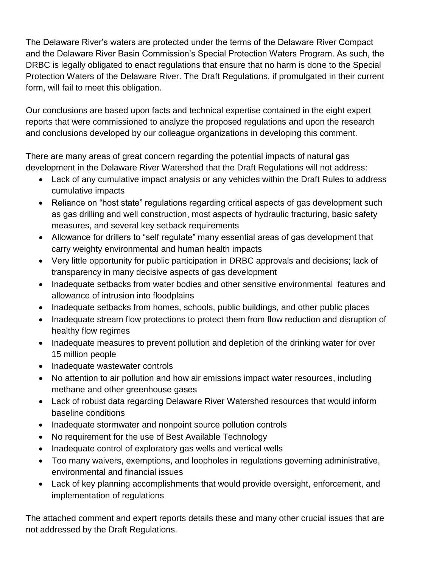The Delaware River's waters are protected under the terms of the Delaware River Compact and the Delaware River Basin Commission's Special Protection Waters Program. As such, the DRBC is legally obligated to enact regulations that ensure that no harm is done to the Special Protection Waters of the Delaware River. The Draft Regulations, if promulgated in their current form, will fail to meet this obligation.

Our conclusions are based upon facts and technical expertise contained in the eight expert reports that were commissioned to analyze the proposed regulations and upon the research and conclusions developed by our colleague organizations in developing this comment.

There are many areas of great concern regarding the potential impacts of natural gas development in the Delaware River Watershed that the Draft Regulations will not address:

- Lack of any cumulative impact analysis or any vehicles within the Draft Rules to address cumulative impacts
- Reliance on "host state" regulations regarding critical aspects of gas development such as gas drilling and well construction, most aspects of hydraulic fracturing, basic safety measures, and several key setback requirements
- Allowance for drillers to "self regulate" many essential areas of gas development that carry weighty environmental and human health impacts
- Very little opportunity for public participation in DRBC approvals and decisions; lack of transparency in many decisive aspects of gas development
- Inadequate setbacks from water bodies and other sensitive environmental features and allowance of intrusion into floodplains
- Inadequate setbacks from homes, schools, public buildings, and other public places
- Inadequate stream flow protections to protect them from flow reduction and disruption of healthy flow regimes
- Inadequate measures to prevent pollution and depletion of the drinking water for over 15 million people
- Inadequate wastewater controls
- No attention to air pollution and how air emissions impact water resources, including methane and other greenhouse gases
- Lack of robust data regarding Delaware River Watershed resources that would inform baseline conditions
- Inadequate stormwater and nonpoint source pollution controls
- No requirement for the use of Best Available Technology
- Inadequate control of exploratory gas wells and vertical wells
- Too many waivers, exemptions, and loopholes in regulations governing administrative, environmental and financial issues
- Lack of key planning accomplishments that would provide oversight, enforcement, and implementation of regulations

The attached comment and expert reports details these and many other crucial issues that are not addressed by the Draft Regulations.